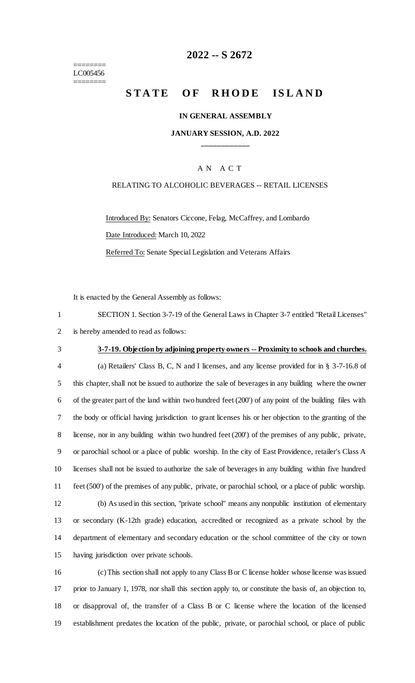======== LC005456 ========

# **-- S 2672**

# **STATE OF RHODE ISLAND**

#### **IN GENERAL ASSEMBLY**

### **JANUARY SESSION, A.D. 2022 \_\_\_\_\_\_\_\_\_\_\_\_**

### A N A C T

#### RELATING TO ALCOHOLIC BEVERAGES -- RETAIL LICENSES

Introduced By: Senators Ciccone, Felag, McCaffrey, and Lombardo Date Introduced: March 10, 2022

Referred To: Senate Special Legislation and Veterans Affairs

It is enacted by the General Assembly as follows:

| SECTION 1. Section 3-7-19 of the General Laws in Chapter 3-7 entitled "Retail Licenses" |
|-----------------------------------------------------------------------------------------|
| 2 is hereby amended to read as follows:                                                 |

### **3-7-19. Objection by adjoining property owners -- Proximity to schools and churches.**

 (a) Retailers' Class B, C, N and I licenses, and any license provided for in § 3-7-16.8 of this chapter, shall not be issued to authorize the sale of beverages in any building where the owner of the greater part of the land within two hundred feet (200') of any point of the building files with the body or official having jurisdiction to grant licenses his or her objection to the granting of the license, nor in any building within two hundred feet (200') of the premises of any public, private, or parochial school or a place of public worship. In the city of East Providence, retailer's Class A licenses shall not be issued to authorize the sale of beverages in any building within five hundred feet (500') of the premises of any public, private, or parochial school, or a place of public worship. (b) As used in this section, "private school" means any nonpublic institution of elementary or secondary (K-12th grade) education, accredited or recognized as a private school by the department of elementary and secondary education or the school committee of the city or town having jurisdiction over private schools.

 (c) This section shall not apply to any Class B or C license holder whose license was issued prior to January 1, 1978, nor shall this section apply to, or constitute the basis of, an objection to, or disapproval of, the transfer of a Class B or C license where the location of the licensed establishment predates the location of the public, private, or parochial school, or place of public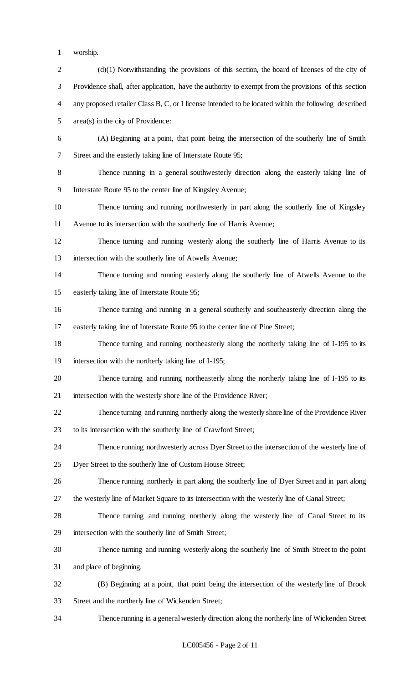- worship.
- 2 (d)(1) Notwithstanding the provisions of this section, the board of licenses of the city of Providence shall, after application, have the authority to exempt from the provisions of this section any proposed retailer Class B, C, or I license intended to be located within the following described area(s) in the city of Providence: (A) Beginning at a point, that point being the intersection of the southerly line of Smith Street and the easterly taking line of Interstate Route 95; Thence running in a general southwesterly direction along the easterly taking line of Interstate Route 95 to the center line of Kingsley Avenue; Thence turning and running northwesterly in part along the southerly line of Kingsley Avenue to its intersection with the southerly line of Harris Avenue; Thence turning and running westerly along the southerly line of Harris Avenue to its intersection with the southerly line of Atwells Avenue; Thence turning and running easterly along the southerly line of Atwells Avenue to the easterly taking line of Interstate Route 95; Thence turning and running in a general southerly and southeasterly direction along the easterly taking line of Interstate Route 95 to the center line of Pine Street; Thence turning and running northeasterly along the northerly taking line of I-195 to its intersection with the northerly taking line of I-195; Thence turning and running northeasterly along the northerly taking line of I-195 to its intersection with the westerly shore line of the Providence River; Thence turning and running northerly along the westerly shore line of the Providence River to its intersection with the southerly line of Crawford Street; Thence running northwesterly across Dyer Street to the intersection of the westerly line of Dyer Street to the southerly line of Custom House Street; Thence running northerly in part along the southerly line of Dyer Street and in part along the westerly line of Market Square to its intersection with the westerly line of Canal Street; Thence turning and running northerly along the westerly line of Canal Street to its intersection with the southerly line of Smith Street; Thence turning and running westerly along the southerly line of Smith Street to the point and place of beginning. (B) Beginning at a point, that point being the intersection of the westerly line of Brook Street and the northerly line of Wickenden Street;
- Thence running in a general westerly direction along the northerly line of Wickenden Street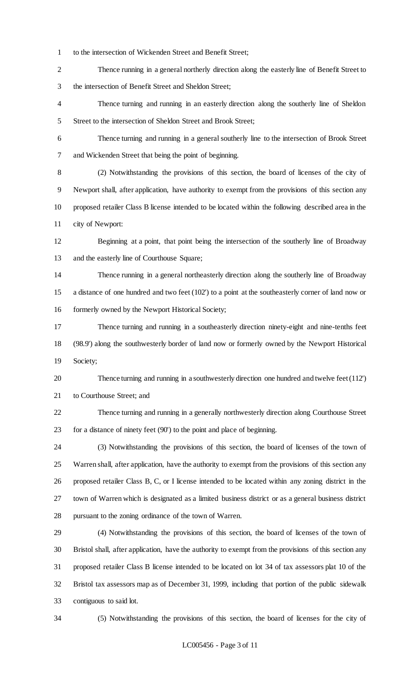to the intersection of Wickenden Street and Benefit Street;

 Thence running in a general northerly direction along the easterly line of Benefit Street to the intersection of Benefit Street and Sheldon Street;

 Thence turning and running in an easterly direction along the southerly line of Sheldon 5 Street to the intersection of Sheldon Street and Brook Street;

 Thence turning and running in a general southerly line to the intersection of Brook Street and Wickenden Street that being the point of beginning.

 (2) Notwithstanding the provisions of this section, the board of licenses of the city of Newport shall, after application, have authority to exempt from the provisions of this section any proposed retailer Class B license intended to be located within the following described area in the city of Newport:

 Beginning at a point, that point being the intersection of the southerly line of Broadway and the easterly line of Courthouse Square;

 Thence running in a general northeasterly direction along the southerly line of Broadway a distance of one hundred and two feet (102') to a point at the southeasterly corner of land now or formerly owned by the Newport Historical Society;

 Thence turning and running in a southeasterly direction ninety-eight and nine-tenths feet (98.9') along the southwesterly border of land now or formerly owned by the Newport Historical Society;

 Thence turning and running in a southwesterly direction one hundred and twelve feet (112') to Courthouse Street; and

 Thence turning and running in a generally northwesterly direction along Courthouse Street for a distance of ninety feet (90') to the point and place of beginning.

 (3) Notwithstanding the provisions of this section, the board of licenses of the town of Warren shall, after application, have the authority to exempt from the provisions of this section any proposed retailer Class B, C, or I license intended to be located within any zoning district in the town of Warren which is designated as a limited business district or as a general business district pursuant to the zoning ordinance of the town of Warren.

 (4) Notwithstanding the provisions of this section, the board of licenses of the town of Bristol shall, after application, have the authority to exempt from the provisions of this section any proposed retailer Class B license intended to be located on lot 34 of tax assessors plat 10 of the Bristol tax assessors map as of December 31, 1999, including that portion of the public sidewalk contiguous to said lot.

(5) Notwithstanding the provisions of this section, the board of licenses for the city of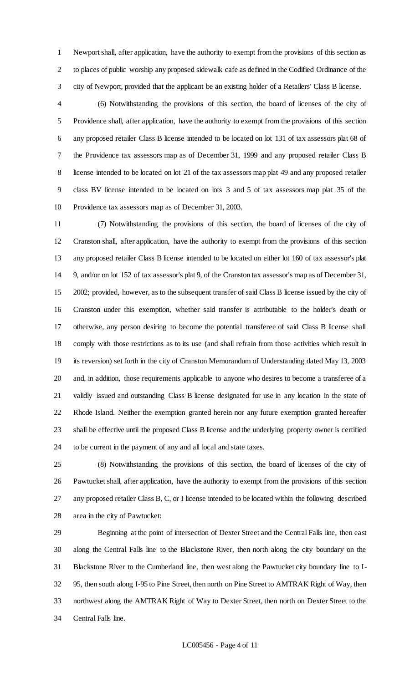Newport shall, after application, have the authority to exempt from the provisions of this section as to places of public worship any proposed sidewalk cafe as defined in the Codified Ordinance of the city of Newport, provided that the applicant be an existing holder of a Retailers' Class B license.

 (6) Notwithstanding the provisions of this section, the board of licenses of the city of Providence shall, after application, have the authority to exempt from the provisions of this section any proposed retailer Class B license intended to be located on lot 131 of tax assessors plat 68 of the Providence tax assessors map as of December 31, 1999 and any proposed retailer Class B license intended to be located on lot 21 of the tax assessors map plat 49 and any proposed retailer class BV license intended to be located on lots 3 and 5 of tax assessors map plat 35 of the Providence tax assessors map as of December 31, 2003.

 (7) Notwithstanding the provisions of this section, the board of licenses of the city of Cranston shall, after application, have the authority to exempt from the provisions of this section any proposed retailer Class B license intended to be located on either lot 160 of tax assessor's plat 9, and/or on lot 152 of tax assessor's plat 9, of the Cranston tax assessor's map as of December 31, 2002; provided, however, as to the subsequent transfer of said Class B license issued by the city of Cranston under this exemption, whether said transfer is attributable to the holder's death or otherwise, any person desiring to become the potential transferee of said Class B license shall comply with those restrictions as to its use (and shall refrain from those activities which result in its reversion) set forth in the city of Cranston Memorandum of Understanding dated May 13, 2003 and, in addition, those requirements applicable to anyone who desires to become a transferee of a validly issued and outstanding Class B license designated for use in any location in the state of Rhode Island. Neither the exemption granted herein nor any future exemption granted hereafter shall be effective until the proposed Class B license and the underlying property owner is certified to be current in the payment of any and all local and state taxes.

 (8) Notwithstanding the provisions of this section, the board of licenses of the city of Pawtucket shall, after application, have the authority to exempt from the provisions of this section any proposed retailer Class B, C, or I license intended to be located within the following described area in the city of Pawtucket:

 Beginning at the point of intersection of Dexter Street and the Central Falls line, then east along the Central Falls line to the Blackstone River, then north along the city boundary on the Blackstone River to the Cumberland line, then west along the Pawtucket city boundary line to I- 95, then south along I-95 to Pine Street, then north on Pine Street to AMTRAK Right of Way, then northwest along the AMTRAK Right of Way to Dexter Street, then north on Dexter Street to the Central Falls line.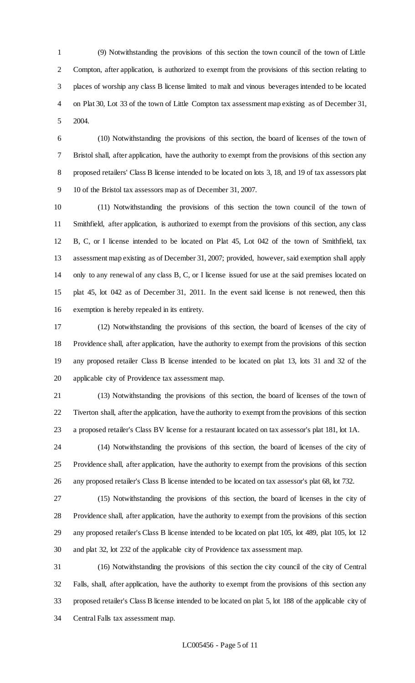(9) Notwithstanding the provisions of this section the town council of the town of Little Compton, after application, is authorized to exempt from the provisions of this section relating to places of worship any class B license limited to malt and vinous beverages intended to be located on Plat 30, Lot 33 of the town of Little Compton tax assessment map existing as of December 31, 2004.

 (10) Notwithstanding the provisions of this section, the board of licenses of the town of Bristol shall, after application, have the authority to exempt from the provisions of this section any proposed retailers' Class B license intended to be located on lots 3, 18, and 19 of tax assessors plat 10 of the Bristol tax assessors map as of December 31, 2007.

 (11) Notwithstanding the provisions of this section the town council of the town of Smithfield, after application, is authorized to exempt from the provisions of this section, any class B, C, or I license intended to be located on Plat 45, Lot 042 of the town of Smithfield, tax assessment map existing as of December 31, 2007; provided, however, said exemption shall apply only to any renewal of any class B, C, or I license issued for use at the said premises located on plat 45, lot 042 as of December 31, 2011. In the event said license is not renewed, then this exemption is hereby repealed in its entirety.

 (12) Notwithstanding the provisions of this section, the board of licenses of the city of Providence shall, after application, have the authority to exempt from the provisions of this section any proposed retailer Class B license intended to be located on plat 13, lots 31 and 32 of the applicable city of Providence tax assessment map.

 (13) Notwithstanding the provisions of this section, the board of licenses of the town of Tiverton shall, after the application, have the authority to exempt from the provisions of this section a proposed retailer's Class BV license for a restaurant located on tax assessor's plat 181, lot 1A.

 (14) Notwithstanding the provisions of this section, the board of licenses of the city of Providence shall, after application, have the authority to exempt from the provisions of this section any proposed retailer's Class B license intended to be located on tax assessor's plat 68, lot 732.

 (15) Notwithstanding the provisions of this section, the board of licenses in the city of Providence shall, after application, have the authority to exempt from the provisions of this section any proposed retailer's Class B license intended to be located on plat 105, lot 489, plat 105, lot 12 and plat 32, lot 232 of the applicable city of Providence tax assessment map.

 (16) Notwithstanding the provisions of this section the city council of the city of Central Falls, shall, after application, have the authority to exempt from the provisions of this section any proposed retailer's Class B license intended to be located on plat 5, lot 188 of the applicable city of Central Falls tax assessment map.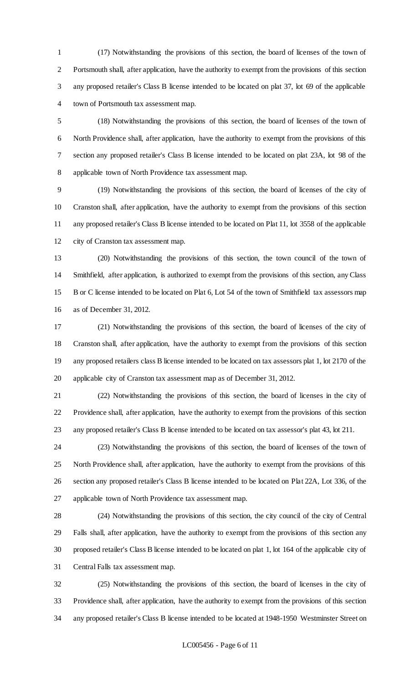(17) Notwithstanding the provisions of this section, the board of licenses of the town of Portsmouth shall, after application, have the authority to exempt from the provisions of this section any proposed retailer's Class B license intended to be located on plat 37, lot 69 of the applicable town of Portsmouth tax assessment map.

 (18) Notwithstanding the provisions of this section, the board of licenses of the town of North Providence shall, after application, have the authority to exempt from the provisions of this section any proposed retailer's Class B license intended to be located on plat 23A, lot 98 of the applicable town of North Providence tax assessment map.

 (19) Notwithstanding the provisions of this section, the board of licenses of the city of Cranston shall, after application, have the authority to exempt from the provisions of this section any proposed retailer's Class B license intended to be located on Plat 11, lot 3558 of the applicable city of Cranston tax assessment map.

 (20) Notwithstanding the provisions of this section, the town council of the town of Smithfield, after application, is authorized to exempt from the provisions of this section, any Class B or C license intended to be located on Plat 6, Lot 54 of the town of Smithfield tax assessors map as of December 31, 2012.

 (21) Notwithstanding the provisions of this section, the board of licenses of the city of Cranston shall, after application, have the authority to exempt from the provisions of this section any proposed retailers class B license intended to be located on tax assessors plat 1, lot 2170 of the applicable city of Cranston tax assessment map as of December 31, 2012.

 (22) Notwithstanding the provisions of this section, the board of licenses in the city of Providence shall, after application, have the authority to exempt from the provisions of this section any proposed retailer's Class B license intended to be located on tax assessor's plat 43, lot 211.

 (23) Notwithstanding the provisions of this section, the board of licenses of the town of North Providence shall, after application, have the authority to exempt from the provisions of this section any proposed retailer's Class B license intended to be located on Plat 22A, Lot 336, of the applicable town of North Providence tax assessment map.

 (24) Notwithstanding the provisions of this section, the city council of the city of Central Falls shall, after application, have the authority to exempt from the provisions of this section any proposed retailer's Class B license intended to be located on plat 1, lot 164 of the applicable city of Central Falls tax assessment map.

 (25) Notwithstanding the provisions of this section, the board of licenses in the city of Providence shall, after application, have the authority to exempt from the provisions of this section any proposed retailer's Class B license intended to be located at 1948-1950 Westminster Street on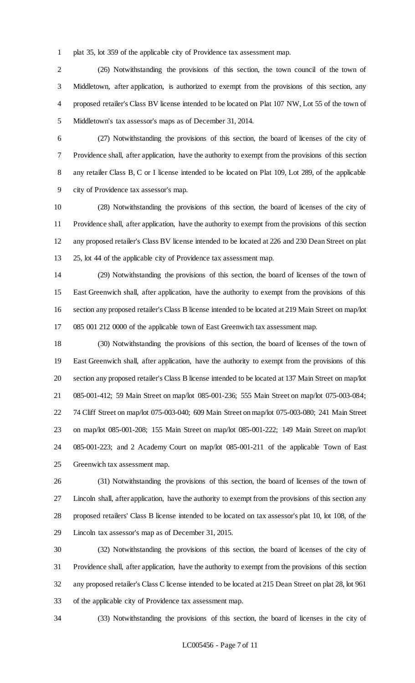plat 35, lot 359 of the applicable city of Providence tax assessment map.

 (26) Notwithstanding the provisions of this section, the town council of the town of Middletown, after application, is authorized to exempt from the provisions of this section, any proposed retailer's Class BV license intended to be located on Plat 107 NW, Lot 55 of the town of Middletown's tax assessor's maps as of December 31, 2014.

 (27) Notwithstanding the provisions of this section, the board of licenses of the city of Providence shall, after application, have the authority to exempt from the provisions of this section any retailer Class B, C or I license intended to be located on Plat 109, Lot 289, of the applicable city of Providence tax assessor's map.

 (28) Notwithstanding the provisions of this section, the board of licenses of the city of Providence shall, after application, have the authority to exempt from the provisions of this section any proposed retailer's Class BV license intended to be located at 226 and 230 Dean Street on plat 25, lot 44 of the applicable city of Providence tax assessment map.

 (29) Notwithstanding the provisions of this section, the board of licenses of the town of East Greenwich shall, after application, have the authority to exempt from the provisions of this section any proposed retailer's Class B license intended to be located at 219 Main Street on map/lot 085 001 212 0000 of the applicable town of East Greenwich tax assessment map.

 (30) Notwithstanding the provisions of this section, the board of licenses of the town of East Greenwich shall, after application, have the authority to exempt from the provisions of this section any proposed retailer's Class B license intended to be located at 137 Main Street on map/lot 085-001-412; 59 Main Street on map/lot 085-001-236; 555 Main Street on map/lot 075-003-084; 74 Cliff Street on map/lot 075-003-040; 609 Main Street on map/lot 075-003-080; 241 Main Street on map/lot 085-001-208; 155 Main Street on map/lot 085-001-222; 149 Main Street on map/lot 085-001-223; and 2 Academy Court on map/lot 085-001-211 of the applicable Town of East Greenwich tax assessment map.

 (31) Notwithstanding the provisions of this section, the board of licenses of the town of Lincoln shall, after application, have the authority to exempt from the provisions of this section any proposed retailers' Class B license intended to be located on tax assessor's plat 10, lot 108, of the Lincoln tax assessor's map as of December 31, 2015.

 (32) Notwithstanding the provisions of this section, the board of licenses of the city of Providence shall, after application, have the authority to exempt from the provisions of this section any proposed retailer's Class C license intended to be located at 215 Dean Street on plat 28, lot 961 of the applicable city of Providence tax assessment map.

(33) Notwithstanding the provisions of this section, the board of licenses in the city of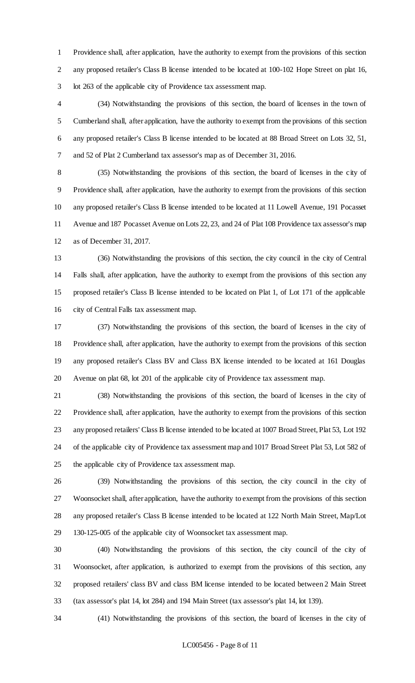Providence shall, after application, have the authority to exempt from the provisions of this section any proposed retailer's Class B license intended to be located at 100-102 Hope Street on plat 16, lot 263 of the applicable city of Providence tax assessment map.

 (34) Notwithstanding the provisions of this section, the board of licenses in the town of Cumberland shall, after application, have the authority to exempt from the provisions of this section any proposed retailer's Class B license intended to be located at 88 Broad Street on Lots 32, 51, and 52 of Plat 2 Cumberland tax assessor's map as of December 31, 2016.

 (35) Notwithstanding the provisions of this section, the board of licenses in the city of Providence shall, after application, have the authority to exempt from the provisions of this section any proposed retailer's Class B license intended to be located at 11 Lowell Avenue, 191 Pocasset Avenue and 187 Pocasset Avenue on Lots 22, 23, and 24 of Plat 108 Providence tax assessor's map as of December 31, 2017.

 (36) Notwithstanding the provisions of this section, the city council in the city of Central Falls shall, after application, have the authority to exempt from the provisions of this section any proposed retailer's Class B license intended to be located on Plat 1, of Lot 171 of the applicable city of Central Falls tax assessment map.

 (37) Notwithstanding the provisions of this section, the board of licenses in the city of Providence shall, after application, have the authority to exempt from the provisions of this section any proposed retailer's Class BV and Class BX license intended to be located at 161 Douglas Avenue on plat 68, lot 201 of the applicable city of Providence tax assessment map.

 (38) Notwithstanding the provisions of this section, the board of licenses in the city of Providence shall, after application, have the authority to exempt from the provisions of this section any proposed retailers' Class B license intended to be located at 1007 Broad Street, Plat 53, Lot 192 of the applicable city of Providence tax assessment map and 1017 Broad Street Plat 53, Lot 582 of the applicable city of Providence tax assessment map.

 (39) Notwithstanding the provisions of this section, the city council in the city of Woonsocket shall, after application, have the authority to exempt from the provisions of this section any proposed retailer's Class B license intended to be located at 122 North Main Street, Map/Lot 130-125-005 of the applicable city of Woonsocket tax assessment map.

 (40) Notwithstanding the provisions of this section, the city council of the city of Woonsocket, after application, is authorized to exempt from the provisions of this section, any proposed retailers' class BV and class BM license intended to be located between 2 Main Street (tax assessor's plat 14, lot 284) and 194 Main Street (tax assessor's plat 14, lot 139).

(41) Notwithstanding the provisions of this section, the board of licenses in the city of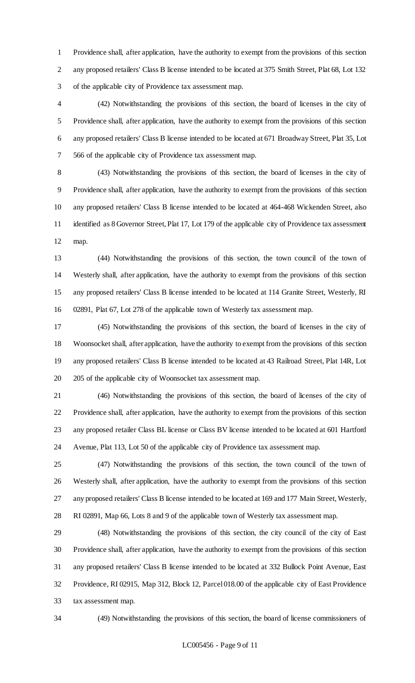Providence shall, after application, have the authority to exempt from the provisions of this section any proposed retailers' Class B license intended to be located at 375 Smith Street, Plat 68, Lot 132 of the applicable city of Providence tax assessment map.

 (42) Notwithstanding the provisions of this section, the board of licenses in the city of Providence shall, after application, have the authority to exempt from the provisions of this section any proposed retailers' Class B license intended to be located at 671 Broadway Street, Plat 35, Lot 566 of the applicable city of Providence tax assessment map.

 (43) Notwithstanding the provisions of this section, the board of licenses in the city of Providence shall, after application, have the authority to exempt from the provisions of this section any proposed retailers' Class B license intended to be located at 464-468 Wickenden Street, also 11 identified as 8 Governor Street, Plat 17, Lot 179 of the applicable city of Providence tax assessment map.

 (44) Notwithstanding the provisions of this section, the town council of the town of Westerly shall, after application, have the authority to exempt from the provisions of this section any proposed retailers' Class B license intended to be located at 114 Granite Street, Westerly, RI 02891, Plat 67, Lot 278 of the applicable town of Westerly tax assessment map.

 (45) Notwithstanding the provisions of this section, the board of licenses in the city of Woonsocket shall, after application, have the authority to exempt from the provisions of this section any proposed retailers' Class B license intended to be located at 43 Railroad Street, Plat 14R, Lot 205 of the applicable city of Woonsocket tax assessment map.

 (46) Notwithstanding the provisions of this section, the board of licenses of the city of Providence shall, after application, have the authority to exempt from the provisions of this section any proposed retailer Class BL license or Class BV license intended to be located at 601 Hartford Avenue, Plat 113, Lot 50 of the applicable city of Providence tax assessment map.

 (47) Notwithstanding the provisions of this section, the town council of the town of Westerly shall, after application, have the authority to exempt from the provisions of this section any proposed retailers' Class B license intended to be located at 169 and 177 Main Street, Westerly, RI 02891, Map 66, Lots 8 and 9 of the applicable town of Westerly tax assessment map.

 (48) Notwithstanding the provisions of this section, the city council of the city of East Providence shall, after application, have the authority to exempt from the provisions of this section any proposed retailers' Class B license intended to be located at 332 Bullock Point Avenue, East Providence, RI 02915, Map 312, Block 12, Parcel 018.00 of the applicable city of East Providence tax assessment map.

(49) Notwithstanding the provisions of this section, the board of license commissioners of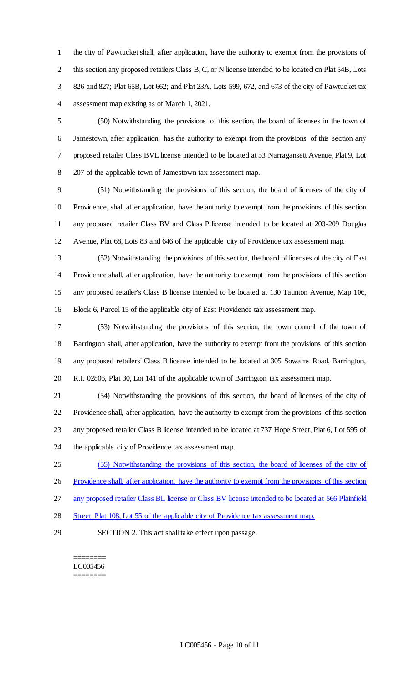the city of Pawtucket shall, after application, have the authority to exempt from the provisions of 2 this section any proposed retailers Class B, C, or N license intended to be located on Plat 54B, Lots 826 and 827; Plat 65B, Lot 662; and Plat 23A, Lots 599, 672, and 673 of the city of Pawtucket tax assessment map existing as of March 1, 2021.

 (50) Notwithstanding the provisions of this section, the board of licenses in the town of Jamestown, after application, has the authority to exempt from the provisions of this section any proposed retailer Class BVL license intended to be located at 53 Narragansett Avenue, Plat 9, Lot 207 of the applicable town of Jamestown tax assessment map.

 (51) Notwithstanding the provisions of this section, the board of licenses of the city of Providence, shall after application, have the authority to exempt from the provisions of this section any proposed retailer Class BV and Class P license intended to be located at 203-209 Douglas Avenue, Plat 68, Lots 83 and 646 of the applicable city of Providence tax assessment map.

 (52) Notwithstanding the provisions of this section, the board of licenses of the city of East Providence shall, after application, have the authority to exempt from the provisions of this section any proposed retailer's Class B license intended to be located at 130 Taunton Avenue, Map 106, Block 6, Parcel 15 of the applicable city of East Providence tax assessment map.

 (53) Notwithstanding the provisions of this section, the town council of the town of Barrington shall, after application, have the authority to exempt from the provisions of this section any proposed retailers' Class B license intended to be located at 305 Sowams Road, Barrington, R.I. 02806, Plat 30, Lot 141 of the applicable town of Barrington tax assessment map.

 (54) Notwithstanding the provisions of this section, the board of licenses of the city of Providence shall, after application, have the authority to exempt from the provisions of this section any proposed retailer Class B license intended to be located at 737 Hope Street, Plat 6, Lot 595 of the applicable city of Providence tax assessment map.

(55) Notwithstanding the provisions of this section, the board of licenses of the city of

26 Providence shall, after application, have the authority to exempt from the provisions of this section

any proposed retailer Class BL license or Class BV license intended to be located at 566 Plainfield

28 Street, Plat 108, Lot 55 of the applicable city of Providence tax assessment map.

SECTION 2. This act shall take effect upon passage.

======== LC005456 ========